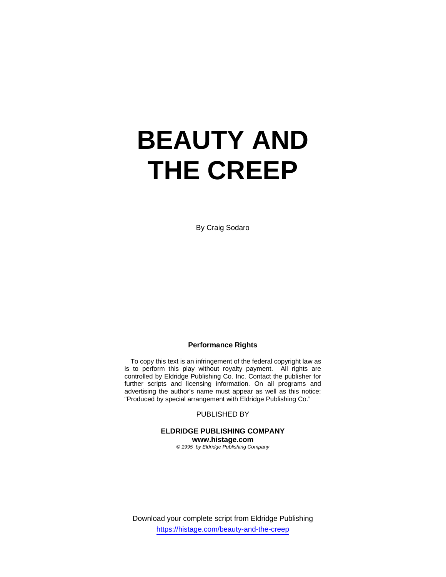# **BEAUTY AND THE CREEP**

By Craig Sodaro

## **Performance Rights**

 To copy this text is an infringement of the federal copyright law as is to perform this play without royalty payment. All rights are controlled by Eldridge Publishing Co. Inc. Contact the publisher for further scripts and licensing information. On all programs and advertising the author's name must appear as well as this notice: "Produced by special arrangement with Eldridge Publishing Co."

PUBLISHED BY

**ELDRIDGE PUBLISHING COMPANY www.histage.com** 

*© 1995 by Eldridge Publishing Company*

Download your complete script from Eldridge Publishing https://histage.com/beauty-and-the-creep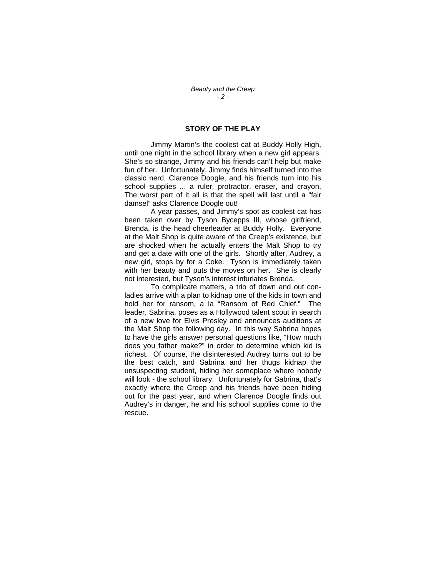## **STORY OF THE PLAY**

 Jimmy Martin's the coolest cat at Buddy Holly High, until one night in the school library when a new girl appears. She's so strange, Jimmy and his friends can't help but make fun of her. Unfortunately, Jimmy finds himself turned into the classic nerd, Clarence Doogle, and his friends turn into his school supplies ... a ruler, protractor, eraser, and crayon. The worst part of it all is that the spell will last until a "fair damsel" asks Clarence Doogle out!

 A year passes, and Jimmy's spot as coolest cat has been taken over by Tyson Bycepps III, whose girlfriend, Brenda, is the head cheerleader at Buddy Holly. Everyone at the Malt Shop is quite aware of the Creep's existence, but are shocked when he actually enters the Malt Shop to try and get a date with one of the girls. Shortly after, Audrey, a new girl, stops by for a Coke. Tyson is immediately taken with her beauty and puts the moves on her. She is clearly not interested, but Tyson's interest infuriates Brenda.

 To complicate matters, a trio of down and out conladies arrive with a plan to kidnap one of the kids in town and hold her for ransom, a la "Ransom of Red Chief." The leader, Sabrina, poses as a Hollywood talent scout in search of a new love for Elvis Presley and announces auditions at the Malt Shop the following day. In this way Sabrina hopes to have the girls answer personal questions like, "How much does you father make?" in order to determine which kid is richest. Of course, the disinterested Audrey turns out to be the best catch, and Sabrina and her thugs kidnap the unsuspecting student, hiding her someplace where nobody will look - the school library. Unfortunately for Sabrina, that's exactly where the Creep and his friends have been hiding out for the past year, and when Clarence Doogle finds out Audrey's in danger, he and his school supplies come to the rescue.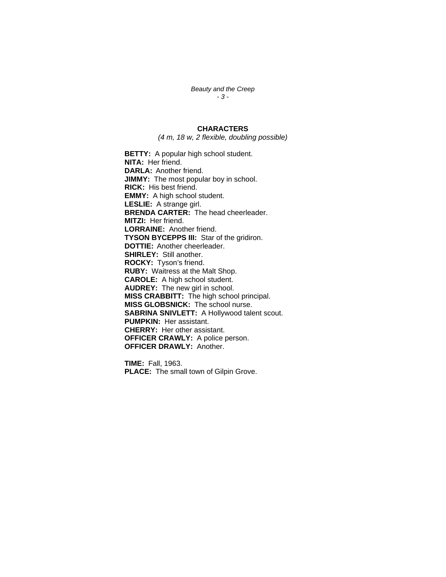*Beauty and the Creep - 3 -* 

## **CHARACTERS**

*(4 m, 18 w, 2 flexible, doubling possible)* 

**BETTY:** A popular high school student. **NITA:** Her friend. **DARLA:** Another friend. **JIMMY:** The most popular boy in school. **RICK:** His best friend. **EMMY:** A high school student. **LESLIE:** A strange girl. **BRENDA CARTER:** The head cheerleader. **MITZI:** Her friend. **LORRAINE:** Another friend. **TYSON BYCEPPS III:** Star of the gridiron. **DOTTIE:** Another cheerleader. **SHIRLEY:** Still another. **ROCKY:** Tyson's friend. **RUBY:** Waitress at the Malt Shop. **CAROLE:** A high school student. **AUDREY:** The new girl in school. **MISS CRABBITT:** The high school principal. **MISS GLOBSNICK:** The school nurse. **SABRINA SNIVLETT:** A Hollywood talent scout. **PUMPKIN:** Her assistant. **CHERRY:** Her other assistant. **OFFICER CRAWLY:** A police person. **OFFICER DRAWLY:** Another.

**TIME:** Fall, 1963. **PLACE:** The small town of Gilpin Grove.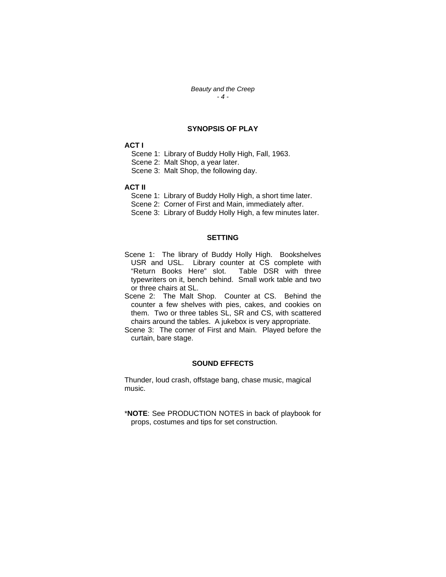*Beauty and the Creep - 4 -* 

# **SYNOPSIS OF PLAY**

# **ACT I**

Scene 1: Library of Buddy Holly High, Fall, 1963.

Scene 2: Malt Shop, a year later.

Scene 3: Malt Shop, the following day.

#### **ACT II**

Scene 1: Library of Buddy Holly High, a short time later.

Scene 2: Corner of First and Main, immediately after.

Scene 3: Library of Buddy Holly High, a few minutes later.

## **SETTING**

- Scene 1: The library of Buddy Holly High. Bookshelves USR and USL. Library counter at CS complete with "Return Books Here" slot. Table DSR with three typewriters on it, bench behind. Small work table and two or three chairs at SL.
- Scene 2: The Malt Shop. Counter at CS. Behind the counter a few shelves with pies, cakes, and cookies on them. Two or three tables SL, SR and CS, with scattered chairs around the tables. A jukebox is very appropriate.
- Scene 3: The corner of First and Main. Played before the curtain, bare stage.

#### **SOUND EFFECTS**

Thunder, loud crash, offstage bang, chase music, magical music.

\***NOTE**: See PRODUCTION NOTES in back of playbook for props, costumes and tips for set construction.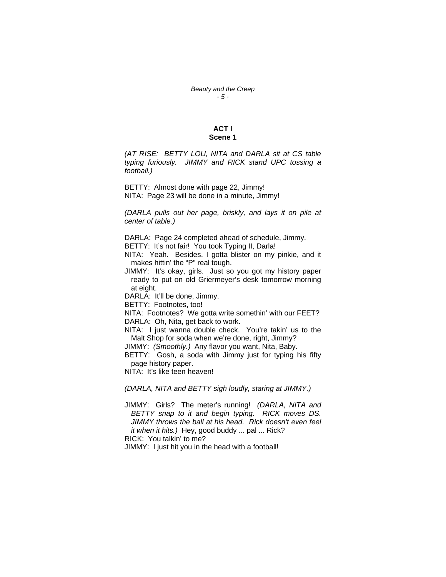## **ACT I Scene 1**

*(AT RISE: BETTY LOU, NITA and DARLA sit at CS table typing furiously. JIMMY and RICK stand UPC tossing a football.)* 

BETTY: Almost done with page 22, Jimmy! NITA: Page 23 will be done in a minute, Jimmy!

*(DARLA pulls out her page, briskly, and lays it on pile at center of table.)* 

DARLA: Page 24 completed ahead of schedule, Jimmy.

BETTY: It's not fair! You took Typing II, Darla!

NITA: Yeah. Besides, I gotta blister on my pinkie, and it makes hittin' the "P" real tough.

JIMMY: It's okay, girls. Just so you got my history paper ready to put on old Griermeyer's desk tomorrow morning at eight.

DARLA: It'll be done, Jimmy.

BETTY: Footnotes, too!

NITA: Footnotes? We gotta write somethin' with our FEET? DARLA: Oh, Nita, get back to work.

NITA: I just wanna double check. You're takin' us to the Malt Shop for soda when we're done, right, Jimmy?

JIMMY: *(Smoothly.)* Any flavor you want, Nita, Baby.

BETTY: Gosh, a soda with Jimmy just for typing his fifty page history paper.

NITA: It's like teen heaven!

*(DARLA, NITA and BETTY sigh loudly, staring at JIMMY.)* 

JIMMY: Girls? The meter's running! *(DARLA, NITA and BETTY snap to it and begin typing. RICK moves DS. JIMMY throws the ball at his head. Rick doesn't even feel it when it hits.)* Hey, good buddy ... pal ... Rick? RICK: You talkin' to me?

JIMMY: I just hit you in the head with a football!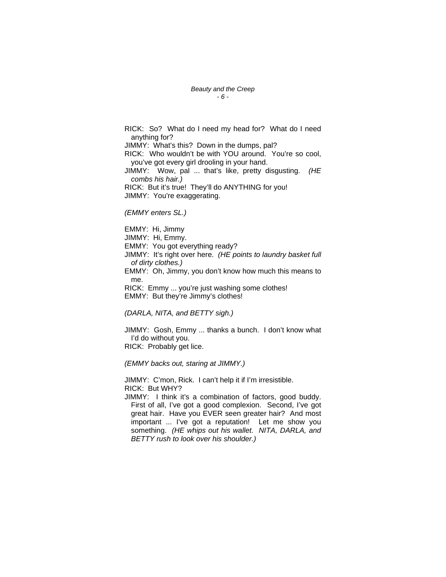RICK: So? What do I need my head for? What do I need anything for? JIMMY: What's this? Down in the dumps, pal? RICK: Who wouldn't be with YOU around. You're so cool, you've got every girl drooling in your hand. JIMMY: Wow, pal ... that's like, pretty disgusting. *(HE combs his hair.)*  RICK: But it's true! They'll do ANYTHING for you! JIMMY: You're exaggerating.

*(EMMY enters SL.)* 

EMMY: Hi, Jimmy JIMMY: Hi, Emmy. EMMY: You got everything ready? JIMMY: It's right over here. *(HE points to laundry basket full of dirty clothes.)*  EMMY: Oh, Jimmy, you don't know how much this means to me. RICK: Emmy ... you're just washing some clothes! EMMY: But they're Jimmy's clothes!

*(DARLA, NITA, and BETTY sigh.)* 

JIMMY: Gosh, Emmy ... thanks a bunch. I don't know what I'd do without you. RICK: Probably get lice.

*(EMMY backs out, staring at JIMMY.)* 

JIMMY: C'mon, Rick. I can't help it if I'm irresistible. RICK: But WHY?

JIMMY: I think it's a combination of factors, good buddy. First of all, I've got a good complexion. Second, I've got great hair. Have you EVER seen greater hair? And most important ... I've got a reputation! Let me show you something. *(HE whips out his wallet. NITA, DARLA, and BETTY rush to look over his shoulder.)*